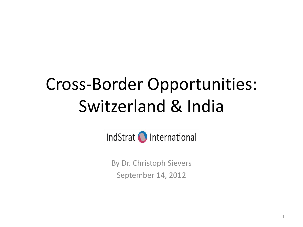# Cross-Border Opportunities: Switzerland & India



By Dr. Christoph Sievers September 14, 2012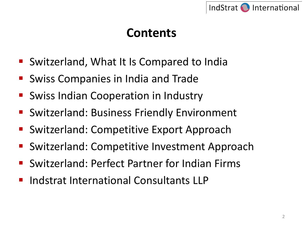

## **Contents**

- Switzerland, What It Is Compared to India
- Swiss Companies in India and Trade
- Swiss Indian Cooperation in Industry
- **Switzerland: Business Friendly Environment**
- Switzerland: Competitive Export Approach
- Switzerland: Competitive Investment Approach
- Switzerland: Perfect Partner for Indian Firms
- Indstrat International Consultants LLP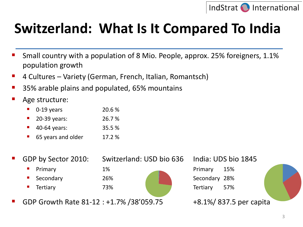

# **Switzerland: What Is It Compared To India**

- Small country with a population of 8 Mio. People, approx. 25% foreigners, 1.1% population growth
- 4 Cultures Variety (German, French, Italian, Romantsch)
- 35% arable plains and populated, 65% mountains
- Age structure:
	- 0-19 years 20.6 %
	- 20-39 years: 26.7 %
	- 40-64 years: 35.5 %
	- 65 years and older 17.2 %
- 

GDP by Sector 2010: Switzerland: USD bio 636 India: UDS bio 1845

- **Primary** 1% Primary 15%
- Secondary 26% 26% Secondary 28%
- **Tertiary 57%** 73% Tertiary 57%

GDP Growth Rate 81-12 : +1.7% / 38' 059.75 +8.1% +8.1% / 837.5 per capita

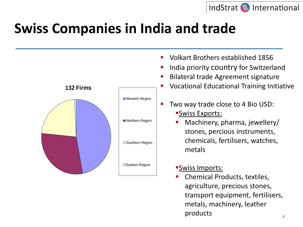

# **Swiss Companies in India and trade**



transport equipment, fertilisers,

metals, machinery, leather

products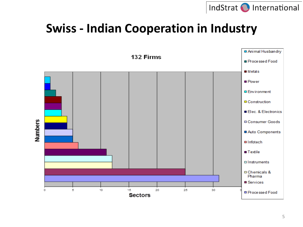

#### **Swiss - Indian Cooperation in Industry**



5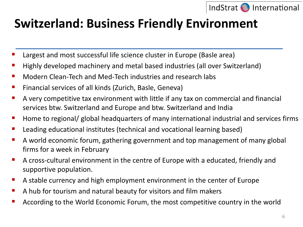

## **Switzerland: Business Friendly Environment**

- Largest and most successful life science cluster in Europe (Basle area)
- Highly developed machinery and metal based industries (all over Switzerland)
- **Nodern Clean-Tech and Med-Tech industries and research labs**
- Financial services of all kinds (Zurich, Basle, Geneva)
- A very competitive tax environment with little if any tax on commercial and financial services btw. Switzerland and Europe and btw. Switzerland and India
- Home to regional/ global headquarters of many international industrial and services firms
- Leading educational institutes (technical and vocational learning based)
- A world economic forum, gathering government and top management of many global firms for a week in February
- A cross-cultural environment in the centre of Europe with a educated, friendly and supportive population.
- A stable currency and high employment environment in the center of Europe
- A hub for tourism and natural beauty for visitors and film makers
- According to the World Economic Forum, the most competitive country in the world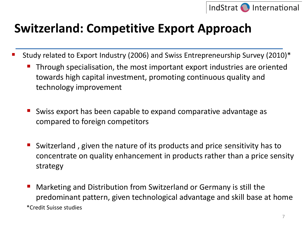

## **Switzerland: Competitive Export Approach**

- Study related to Export Industry (2006) and Swiss Entrepreneurship Survey (2010)\*
	- Through specialisation, the most important export industries are oriented towards high capital investment, promoting continuous quality and technology improvement
	- Swiss export has been capable to expand comparative advantage as compared to foreign competitors
	- Switzerland , given the nature of its products and price sensitivity has to concentrate on quality enhancement in products rather than a price sensity strategy
	- Marketing and Distribution from Switzerland or Germany is still the predominant pattern, given technological advantage and skill base at home \*Credit Suisse studies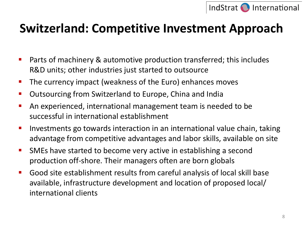

#### **Switzerland: Competitive Investment Approach**

- Parts of machinery & automotive production transferred; this includes R&D units; other industries just started to outsource
- **The currency impact (weakness of the Euro) enhances moves**
- **Outsourcing from Switzerland to Europe, China and India**
- An experienced, international management team is needed to be successful in international establishment
- **IDED FINITY Investments go towards interaction in an international value chain, taking FINITY** advantage from competitive advantages and labor skills, available on site
- **SMEs have started to become very active in establishing a second** production off-shore. Their managers often are born globals
- Good site establishment results from careful analysis of local skill base available, infrastructure development and location of proposed local/ international clients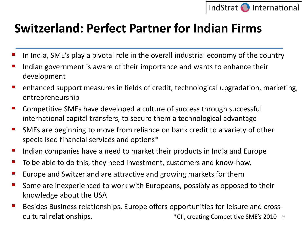

## **Switzerland: Perfect Partner for Indian Firms**

- In India, SME's play a pivotal role in the overall industrial economy of the country
- Indian government is aware of their importance and wants to enhance their development
- enhanced support measures in fields of credit, technological upgradation, marketing, entrepreneurship
- Competitive SMEs have developed a culture of success through successful international capital transfers, to secure them a technological advantage
- **SMEs are beginning to move from reliance on bank credit to a variety of other** specialised financial services and options\*
- Indian companies have a need to market their products in India and Europe
- To be able to do this, they need investment, customers and know-how.
- Europe and Switzerland are attractive and growing markets for them
- **Some are inexperienced to work with Europeans, possibly as opposed to their** knowledge about the USA
- 9 cultural relationships. \*CII, creating Competitive SME's 2010Besides Business relationships, Europe offers opportunities for leisure and cross-